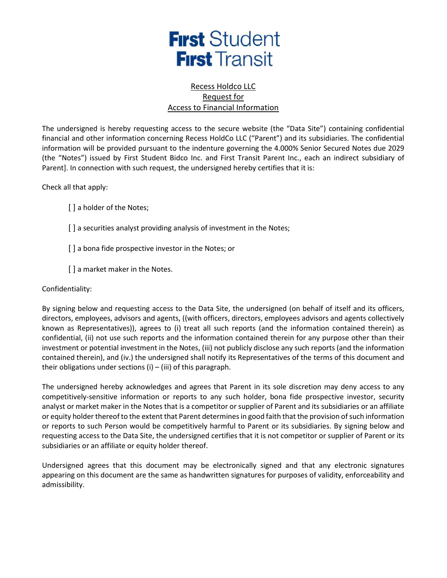

## Recess Holdco LLC Request for Access to Financial Information

The undersigned is hereby requesting access to the secure website (the "Data Site") containing confidential financial and other information concerning Recess HoldCo LLC ("Parent") and its subsidiaries. The confidential information will be provided pursuant to the indenture governing the 4.000% Senior Secured Notes due 2029 (the "Notes") issued by First Student Bidco Inc. and First Transit Parent Inc., each an indirect subsidiary of Parent]. In connection with such request, the undersigned hereby certifies that it is:

Check all that apply:

[ ] a holder of the Notes;

- [ ] a securities analyst providing analysis of investment in the Notes;
- [] a bona fide prospective investor in the Notes; or
- [] a market maker in the Notes.

## Confidentiality:

By signing below and requesting access to the Data Site, the undersigned (on behalf of itself and its officers, directors, employees, advisors and agents, ((with officers, directors, employees advisors and agents collectively known as Representatives)), agrees to (i) treat all such reports (and the information contained therein) as confidential, (ii) not use such reports and the information contained therein for any purpose other than their investment or potential investment in the Notes, (iii) not publicly disclose any such reports (and the information contained therein), and (iv.) the undersigned shall notify its Representatives of the terms of this document and their obligations under sections  $(i) - (iii)$  of this paragraph.

The undersigned hereby acknowledges and agrees that Parent in its sole discretion may deny access to any competitively-sensitive information or reports to any such holder, bona fide prospective investor, security analyst or market maker in the Notes that is a competitor or supplier of Parent and its subsidiaries or an affiliate or equity holder thereof to the extent that Parent determines in good faith that the provision of such information or reports to such Person would be competitively harmful to Parent or its subsidiaries. By signing below and requesting access to the Data Site, the undersigned certifies that it is not competitor or supplier of Parent or its subsidiaries or an affiliate or equity holder thereof.

Undersigned agrees that this document may be electronically signed and that any electronic signatures appearing on this document are the same as handwritten signatures for purposes of validity, enforceability and admissibility.